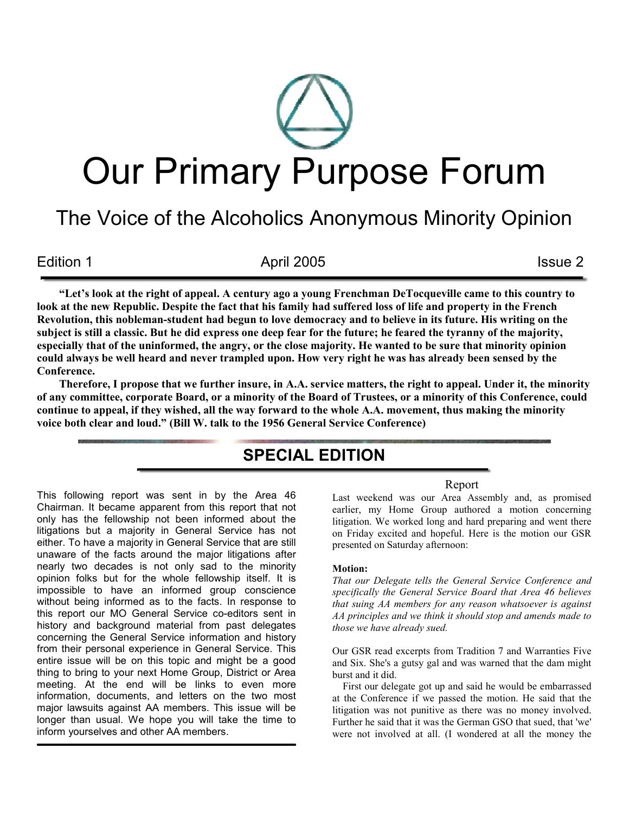# Our Primary Purpose Forum

# The Voice of the Alcoholics Anonymous Minority Opinion

Edition 1 and 1 april 2005 **Issue 2** and 1 april 2005

"Let's look at the right of appeal. A century ago a young Frenchman DeTocqueville came to this country to look at the new Republic. Despite the fact that his family had suffered loss of life and property in the French Revolution, this nobleman-student had begun to love democracy and to believe in its future. His writing on the subject is still a classic. But he did express one deep fear for the future; he feared the tyranny of the majority, especially that of the uninformed, the angry, or the close majority. He wanted to be sure that minority opinion could always be well heard and never trampled upon. How very right he was has already been sensed by the Conference.

Therefore, I propose that we further insure, in A.A. service matters, the right to appeal. Under it, the minority of any committee, corporate Board, or a minority of the Board of Trustees, or a minority of this Conference, could continue to appeal, if they wished, all the way forward to the whole A.A. movement, thus making the minority voice both clear and loud." (Bill W. talk to the 1956 General Service Conference)

# SPECIAL EDITION

This following report was sent in by the Area 46 Chairman. It became apparent from this report that not only has the fellowship not been informed about the litigations but a majority in General Service has not either. To have a majority in General Service that are still unaware of the facts around the major litigations after nearly two decades is not only sad to the minority opinion folks but for the whole fellowship itself. It is impossible to have an informed group conscience without being informed as to the facts. In response to this report our MO General Service co-editors sent in history and background material from past delegates concerning the General Service information and history from their personal experience in General Service. This entire issue will be on this topic and might be a good thing to bring to your next Home Group, District or Area meeting. At the end will be links to even more information, documents, and letters on the two most major lawsuits against AA members. This issue will be longer than usual. We hope you will take the time to inform yourselves and other AA members.

## Report

Last weekend was our Area Assembly and, as promised earlier, my Home Group authored a motion concerning litigation. We worked long and hard preparing and went there on Friday excited and hopeful. Here is the motion our GSR presented on Saturday afternoon:

#### Motion:

That our Delegate tells the General Service Conference and specifically the General Service Board that Area 46 believes that suing AA members for any reason whatsoever is against AA principles and we think it should stop and amends made to those we have already sued.

Our GSR read excerpts from Tradition 7 and Warranties Five and Six. She's a gutsy gal and was warned that the dam might burst and it did.

 First our delegate got up and said he would be embarrassed at the Conference if we passed the motion. He said that the litigation was not punitive as there was no money involved. Further he said that it was the German GSO that sued, that 'we' were not involved at all. (I wondered at all the money the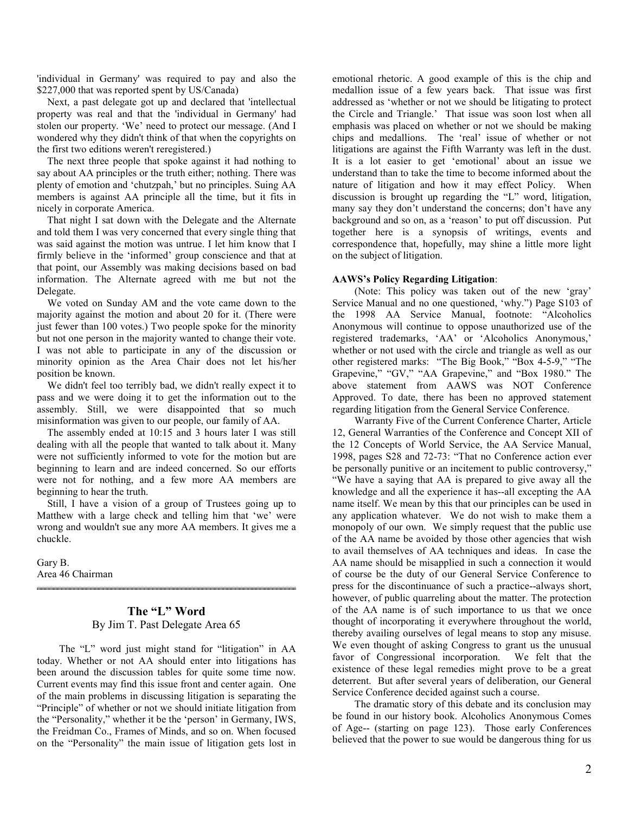'individual in Germany' was required to pay and also the \$227,000 that was reported spent by US/Canada)

 Next, a past delegate got up and declared that 'intellectual property was real and that the 'individual in Germany' had stolen our property. 'We' need to protect our message. (And I wondered why they didn't think of that when the copyrights on the first two editions weren't reregistered.)

 The next three people that spoke against it had nothing to say about AA principles or the truth either; nothing. There was plenty of emotion and 'chutzpah,' but no principles. Suing AA members is against AA principle all the time, but it fits in nicely in corporate America.

 That night I sat down with the Delegate and the Alternate and told them I was very concerned that every single thing that was said against the motion was untrue. I let him know that I firmly believe in the 'informed' group conscience and that at that point, our Assembly was making decisions based on bad information. The Alternate agreed with me but not the Delegate.

 We voted on Sunday AM and the vote came down to the majority against the motion and about 20 for it. (There were just fewer than 100 votes.) Two people spoke for the minority but not one person in the majority wanted to change their vote. I was not able to participate in any of the discussion or minority opinion as the Area Chair does not let his/her position be known.

 We didn't feel too terribly bad, we didn't really expect it to pass and we were doing it to get the information out to the assembly. Still, we were disappointed that so much misinformation was given to our people, our family of AA.

 The assembly ended at 10:15 and 3 hours later I was still dealing with all the people that wanted to talk about it. Many were not sufficiently informed to vote for the motion but are beginning to learn and are indeed concerned. So our efforts were not for nothing, and a few more AA members are beginning to hear the truth.

 Still, I have a vision of a group of Trustees going up to Matthew with a large check and telling him that 'we' were wrong and wouldn't sue any more AA members. It gives me a chuckle.

Gary B. Area 46 Chairman

# The "L" Word By Jim T. Past Delegate Area 65

The "L" word just might stand for "litigation" in AA today. Whether or not AA should enter into litigations has been around the discussion tables for quite some time now. Current events may find this issue front and center again. One of the main problems in discussing litigation is separating the "Principle" of whether or not we should initiate litigation from the "Personality," whether it be the 'person' in Germany, IWS, the Freidman Co., Frames of Minds, and so on. When focused on the "Personality" the main issue of litigation gets lost in

emotional rhetoric. A good example of this is the chip and medallion issue of a few years back. That issue was first addressed as 'whether or not we should be litigating to protect the Circle and Triangle.' That issue was soon lost when all emphasis was placed on whether or not we should be making chips and medallions. The 'real' issue of whether or not litigations are against the Fifth Warranty was left in the dust. It is a lot easier to get 'emotional' about an issue we understand than to take the time to become informed about the nature of litigation and how it may effect Policy. When discussion is brought up regarding the "L" word, litigation, many say they don't understand the concerns; don't have any background and so on, as a 'reason' to put off discussion. Put together here is a synopsis of writings, events and correspondence that, hopefully, may shine a little more light on the subject of litigation.

#### AAWS's Policy Regarding Litigation:

(Note: This policy was taken out of the new 'gray' Service Manual and no one questioned, 'why.") Page S103 of the 1998 AA Service Manual, footnote: "Alcoholics Anonymous will continue to oppose unauthorized use of the registered trademarks, 'AA' or 'Alcoholics Anonymous,' whether or not used with the circle and triangle as well as our other registered marks: "The Big Book," "Box 4-5-9," "The Grapevine," "GV," "AA Grapevine," and "Box 1980." The above statement from AAWS was NOT Conference Approved. To date, there has been no approved statement regarding litigation from the General Service Conference.

Warranty Five of the Current Conference Charter, Article 12, General Warranties of the Conference and Concept XII of the 12 Concepts of World Service, the AA Service Manual, 1998, pages S28 and 72-73: "That no Conference action ever be personally punitive or an incitement to public controversy," "We have a saying that AA is prepared to give away all the knowledge and all the experience it has--all excepting the AA name itself. We mean by this that our principles can be used in any application whatever. We do not wish to make them a monopoly of our own. We simply request that the public use of the AA name be avoided by those other agencies that wish to avail themselves of AA techniques and ideas. In case the AA name should be misapplied in such a connection it would of course be the duty of our General Service Conference to press for the discontinuance of such a practice--always short, however, of public quarreling about the matter. The protection of the AA name is of such importance to us that we once thought of incorporating it everywhere throughout the world, thereby availing ourselves of legal means to stop any misuse. We even thought of asking Congress to grant us the unusual favor of Congressional incorporation. We felt that the existence of these legal remedies might prove to be a great deterrent. But after several years of deliberation, our General Service Conference decided against such a course.

The dramatic story of this debate and its conclusion may be found in our history book. Alcoholics Anonymous Comes of Age-- (starting on page 123). Those early Conferences believed that the power to sue would be dangerous thing for us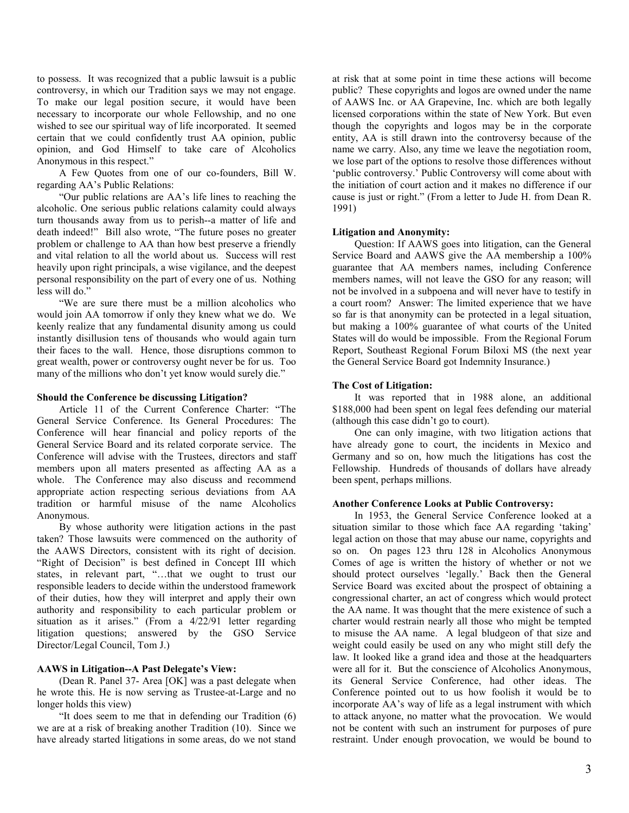to possess. It was recognized that a public lawsuit is a public controversy, in which our Tradition says we may not engage. To make our legal position secure, it would have been necessary to incorporate our whole Fellowship, and no one wished to see our spiritual way of life incorporated. It seemed certain that we could confidently trust AA opinion, public opinion, and God Himself to take care of Alcoholics Anonymous in this respect."

A Few Quotes from one of our co-founders, Bill W. regarding AA's Public Relations:

 "Our public relations are AA's life lines to reaching the alcoholic. One serious public relations calamity could always turn thousands away from us to perish--a matter of life and death indeed!" Bill also wrote, "The future poses no greater problem or challenge to AA than how best preserve a friendly and vital relation to all the world about us. Success will rest heavily upon right principals, a wise vigilance, and the deepest personal responsibility on the part of every one of us. Nothing less will do."

 "We are sure there must be a million alcoholics who would join AA tomorrow if only they knew what we do. We keenly realize that any fundamental disunity among us could instantly disillusion tens of thousands who would again turn their faces to the wall. Hence, those disruptions common to great wealth, power or controversy ought never be for us. Too many of the millions who don't yet know would surely die."

#### Should the Conference be discussing Litigation?

 Article 11 of the Current Conference Charter: "The General Service Conference. Its General Procedures: The Conference will hear financial and policy reports of the General Service Board and its related corporate service. The Conference will advise with the Trustees, directors and staff members upon all maters presented as affecting AA as a whole. The Conference may also discuss and recommend appropriate action respecting serious deviations from AA tradition or harmful misuse of the name Alcoholics Anonymous.

By whose authority were litigation actions in the past taken? Those lawsuits were commenced on the authority of the AAWS Directors, consistent with its right of decision. "Right of Decision" is best defined in Concept III which states, in relevant part, "...that we ought to trust our responsible leaders to decide within the understood framework of their duties, how they will interpret and apply their own authority and responsibility to each particular problem or situation as it arises." (From a 4/22/91 letter regarding litigation questions; answered by the GSO Service Director/Legal Council, Tom J.)

#### AAWS in Litigation--A Past Delegate's View:

 (Dean R. Panel 37- Area [OK] was a past delegate when he wrote this. He is now serving as Trustee-at-Large and no longer holds this view)

"It does seem to me that in defending our Tradition (6) we are at a risk of breaking another Tradition (10). Since we have already started litigations in some areas, do we not stand

at risk that at some point in time these actions will become public? These copyrights and logos are owned under the name of AAWS Inc. or AA Grapevine, Inc. which are both legally licensed corporations within the state of New York. But even though the copyrights and logos may be in the corporate entity, AA is still drawn into the controversy because of the name we carry. Also, any time we leave the negotiation room, we lose part of the options to resolve those differences without 'public controversy.' Public Controversy will come about with the initiation of court action and it makes no difference if our cause is just or right." (From a letter to Jude H. from Dean R. 1991)

#### Litigation and Anonymity:

Question: If AAWS goes into litigation, can the General Service Board and AAWS give the AA membership a 100% guarantee that AA members names, including Conference members names, will not leave the GSO for any reason; will not be involved in a subpoena and will never have to testify in a court room? Answer: The limited experience that we have so far is that anonymity can be protected in a legal situation, but making a 100% guarantee of what courts of the United States will do would be impossible. From the Regional Forum Report, Southeast Regional Forum Biloxi MS (the next year the General Service Board got Indemnity Insurance.)

#### The Cost of Litigation:

It was reported that in 1988 alone, an additional \$188,000 had been spent on legal fees defending our material (although this case didn't go to court).

One can only imagine, with two litigation actions that have already gone to court, the incidents in Mexico and Germany and so on, how much the litigations has cost the Fellowship. Hundreds of thousands of dollars have already been spent, perhaps millions.

#### Another Conference Looks at Public Controversy:

In 1953, the General Service Conference looked at a situation similar to those which face AA regarding 'taking' legal action on those that may abuse our name, copyrights and so on. On pages 123 thru 128 in Alcoholics Anonymous Comes of age is written the history of whether or not we should protect ourselves 'legally.' Back then the General Service Board was excited about the prospect of obtaining a congressional charter, an act of congress which would protect the AA name. It was thought that the mere existence of such a charter would restrain nearly all those who might be tempted to misuse the AA name. A legal bludgeon of that size and weight could easily be used on any who might still defy the law. It looked like a grand idea and those at the headquarters were all for it. But the conscience of Alcoholics Anonymous, its General Service Conference, had other ideas. The Conference pointed out to us how foolish it would be to incorporate AA's way of life as a legal instrument with which to attack anyone, no matter what the provocation. We would not be content with such an instrument for purposes of pure restraint. Under enough provocation, we would be bound to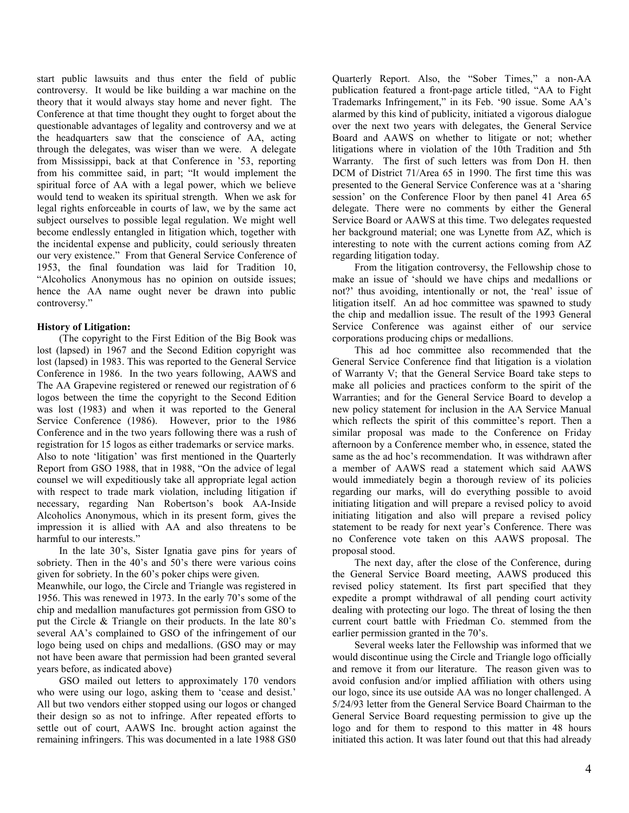start public lawsuits and thus enter the field of public controversy. It would be like building a war machine on the theory that it would always stay home and never fight. The Conference at that time thought they ought to forget about the questionable advantages of legality and controversy and we at the headquarters saw that the conscience of AA, acting through the delegates, was wiser than we were. A delegate from Mississippi, back at that Conference in '53, reporting from his committee said, in part; "It would implement the spiritual force of AA with a legal power, which we believe would tend to weaken its spiritual strength. When we ask for legal rights enforceable in courts of law, we by the same act subject ourselves to possible legal regulation. We might well become endlessly entangled in litigation which, together with the incidental expense and publicity, could seriously threaten our very existence." From that General Service Conference of 1953, the final foundation was laid for Tradition 10, "Alcoholics Anonymous has no opinion on outside issues; hence the AA name ought never be drawn into public controversy."

#### History of Litigation:

(The copyright to the First Edition of the Big Book was lost (lapsed) in 1967 and the Second Edition copyright was lost (lapsed) in 1983. This was reported to the General Service Conference in 1986. In the two years following, AAWS and The AA Grapevine registered or renewed our registration of 6 logos between the time the copyright to the Second Edition was lost (1983) and when it was reported to the General Service Conference (1986). However, prior to the 1986 Conference and in the two years following there was a rush of registration for 15 logos as either trademarks or service marks. Also to note 'litigation' was first mentioned in the Quarterly Report from GSO 1988, that in 1988, "On the advice of legal counsel we will expeditiously take all appropriate legal action with respect to trade mark violation, including litigation if necessary, regarding Nan Robertson's book AA-Inside Alcoholics Anonymous, which in its present form, gives the impression it is allied with AA and also threatens to be harmful to our interests."

In the late 30's, Sister Ignatia gave pins for years of sobriety. Then in the 40's and 50's there were various coins given for sobriety. In the 60's poker chips were given.

Meanwhile, our logo, the Circle and Triangle was registered in 1956. This was renewed in 1973. In the early 70's some of the chip and medallion manufactures got permission from GSO to put the Circle & Triangle on their products. In the late 80's several AA's complained to GSO of the infringement of our logo being used on chips and medallions. (GSO may or may not have been aware that permission had been granted several years before, as indicated above)

GSO mailed out letters to approximately 170 vendors who were using our logo, asking them to 'cease and desist.' All but two vendors either stopped using our logos or changed their design so as not to infringe. After repeated efforts to settle out of court, AAWS Inc. brought action against the remaining infringers. This was documented in a late 1988 GS0

Quarterly Report. Also, the "Sober Times," a non-AA publication featured a front-page article titled, "AA to Fight Trademarks Infringement," in its Feb. '90 issue. Some AA's alarmed by this kind of publicity, initiated a vigorous dialogue over the next two years with delegates, the General Service Board and AAWS on whether to litigate or not; whether litigations where in violation of the 10th Tradition and 5th Warranty. The first of such letters was from Don H. then DCM of District 71/Area 65 in 1990. The first time this was presented to the General Service Conference was at a 'sharing session' on the Conference Floor by then panel 41 Area 65 delegate. There were no comments by either the General Service Board or AAWS at this time. Two delegates requested her background material; one was Lynette from AZ, which is interesting to note with the current actions coming from AZ regarding litigation today.

From the litigation controversy, the Fellowship chose to make an issue of 'should we have chips and medallions or not?' thus avoiding, intentionally or not, the 'real' issue of litigation itself. An ad hoc committee was spawned to study the chip and medallion issue. The result of the 1993 General Service Conference was against either of our service corporations producing chips or medallions.

This ad hoc committee also recommended that the General Service Conference find that litigation is a violation of Warranty V; that the General Service Board take steps to make all policies and practices conform to the spirit of the Warranties; and for the General Service Board to develop a new policy statement for inclusion in the AA Service Manual which reflects the spirit of this committee's report. Then a similar proposal was made to the Conference on Friday afternoon by a Conference member who, in essence, stated the same as the ad hoc's recommendation. It was withdrawn after a member of AAWS read a statement which said AAWS would immediately begin a thorough review of its policies regarding our marks, will do everything possible to avoid initiating litigation and will prepare a revised policy to avoid initiating litigation and also will prepare a revised policy statement to be ready for next year's Conference. There was no Conference vote taken on this AAWS proposal. The proposal stood.

The next day, after the close of the Conference, during the General Service Board meeting, AAWS produced this revised policy statement. Its first part specified that they expedite a prompt withdrawal of all pending court activity dealing with protecting our logo. The threat of losing the then current court battle with Friedman Co. stemmed from the earlier permission granted in the 70's.

Several weeks later the Fellowship was informed that we would discontinue using the Circle and Triangle logo officially and remove it from our literature. The reason given was to avoid confusion and/or implied affiliation with others using our logo, since its use outside AA was no longer challenged. A 5/24/93 letter from the General Service Board Chairman to the General Service Board requesting permission to give up the logo and for them to respond to this matter in 48 hours initiated this action. It was later found out that this had already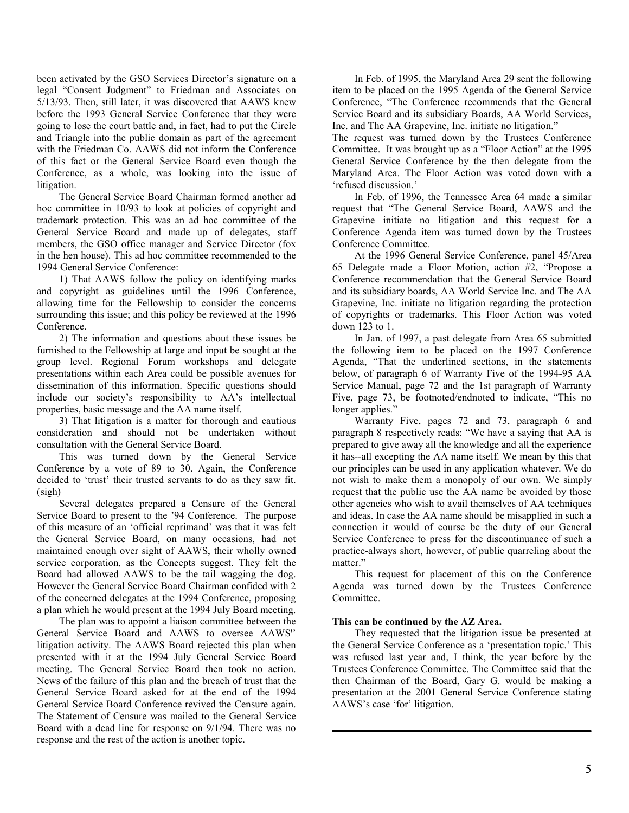been activated by the GSO Services Director's signature on a legal "Consent Judgment" to Friedman and Associates on 5/13/93. Then, still later, it was discovered that AAWS knew before the 1993 General Service Conference that they were going to lose the court battle and, in fact, had to put the Circle and Triangle into the public domain as part of the agreement with the Friedman Co. AAWS did not inform the Conference of this fact or the General Service Board even though the Conference, as a whole, was looking into the issue of litigation.

The General Service Board Chairman formed another ad hoc committee in 10/93 to look at policies of copyright and trademark protection. This was an ad hoc committee of the General Service Board and made up of delegates, staff members, the GSO office manager and Service Director (fox in the hen house). This ad hoc committee recommended to the 1994 General Service Conference:

1) That AAWS follow the policy on identifying marks and copyright as guidelines until the 1996 Conference, allowing time for the Fellowship to consider the concerns surrounding this issue; and this policy be reviewed at the 1996 Conference.

2) The information and questions about these issues be furnished to the Fellowship at large and input be sought at the group level. Regional Forum workshops and delegate presentations within each Area could be possible avenues for dissemination of this information. Specific questions should include our society's responsibility to AA's intellectual properties, basic message and the AA name itself.

3) That litigation is a matter for thorough and cautious consideration and should not be undertaken without consultation with the General Service Board.

This was turned down by the General Service Conference by a vote of 89 to 30. Again, the Conference decided to 'trust' their trusted servants to do as they saw fit. (sigh)

 Several delegates prepared a Censure of the General Service Board to present to the '94 Conference. The purpose of this measure of an 'official reprimand' was that it was felt the General Service Board, on many occasions, had not maintained enough over sight of AAWS, their wholly owned service corporation, as the Concepts suggest. They felt the Board had allowed AAWS to be the tail wagging the dog. However the General Service Board Chairman confided with 2 of the concerned delegates at the 1994 Conference, proposing a plan which he would present at the 1994 July Board meeting.

 The plan was to appoint a liaison committee between the General Service Board and AAWS to oversee AAWS'' litigation activity. The AAWS Board rejected this plan when presented with it at the 1994 July General Service Board meeting. The General Service Board then took no action. News of the failure of this plan and the breach of trust that the General Service Board asked for at the end of the 1994 General Service Board Conference revived the Censure again. The Statement of Censure was mailed to the General Service Board with a dead line for response on 9/1/94. There was no response and the rest of the action is another topic.

 In Feb. of 1995, the Maryland Area 29 sent the following item to be placed on the 1995 Agenda of the General Service Conference, "The Conference recommends that the General Service Board and its subsidiary Boards, AA World Services, Inc. and The AA Grapevine, Inc. initiate no litigation."

The request was turned down by the Trustees Conference Committee. It was brought up as a "Floor Action" at the 1995 General Service Conference by the then delegate from the Maryland Area. The Floor Action was voted down with a 'refused discussion.'

 In Feb. of 1996, the Tennessee Area 64 made a similar request that "The General Service Board, AAWS and the Grapevine initiate no litigation and this request for a Conference Agenda item was turned down by the Trustees Conference Committee.

 At the 1996 General Service Conference, panel 45/Area 65 Delegate made a Floor Motion, action #2, "Propose a Conference recommendation that the General Service Board and its subsidiary boards, AA World Service Inc. and The AA Grapevine, Inc. initiate no litigation regarding the protection of copyrights or trademarks. This Floor Action was voted down 123 to 1.

 In Jan. of 1997, a past delegate from Area 65 submitted the following item to be placed on the 1997 Conference Agenda, "That the underlined sections, in the statements below, of paragraph 6 of Warranty Five of the 1994-95 AA Service Manual, page 72 and the 1st paragraph of Warranty Five, page 73, be footnoted/endnoted to indicate, "This no longer applies."

 Warranty Five, pages 72 and 73, paragraph 6 and paragraph 8 respectively reads: "We have a saying that AA is prepared to give away all the knowledge and all the experience it has--all excepting the AA name itself. We mean by this that our principles can be used in any application whatever. We do not wish to make them a monopoly of our own. We simply request that the public use the AA name be avoided by those other agencies who wish to avail themselves of AA techniques and ideas. In case the AA name should be misapplied in such a connection it would of course be the duty of our General Service Conference to press for the discontinuance of such a practice-always short, however, of public quarreling about the matter."

 This request for placement of this on the Conference Agenda was turned down by the Trustees Conference Committee.

#### This can be continued by the AZ Area.

 They requested that the litigation issue be presented at the General Service Conference as a 'presentation topic.' This was refused last year and, I think, the year before by the Trustees Conference Committee. The Committee said that the then Chairman of the Board, Gary G. would be making a presentation at the 2001 General Service Conference stating AAWS's case 'for' litigation.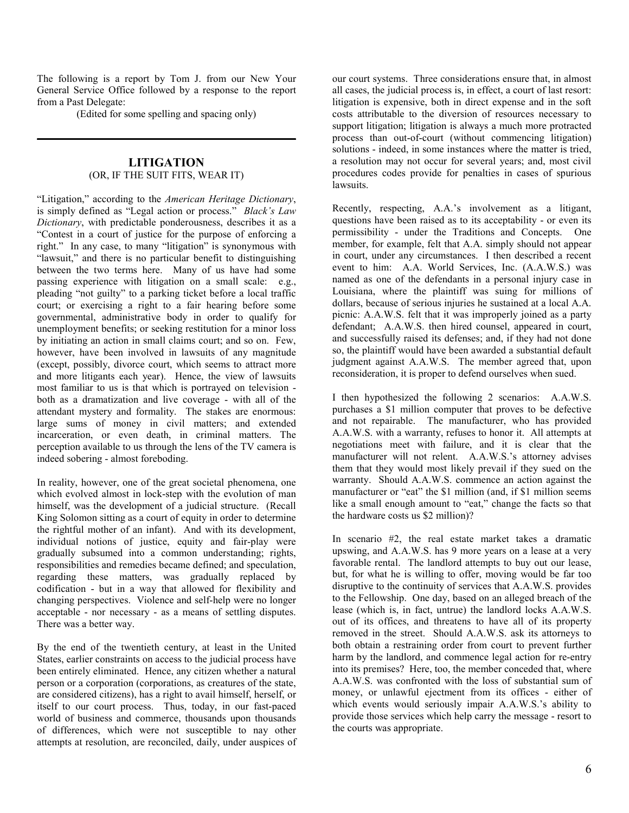The following is a report by Tom J. from our New Your General Service Office followed by a response to the report from a Past Delegate:

(Edited for some spelling and spacing only)

# LITIGATION (OR, IF THE SUIT FITS, WEAR IT)

"Litigation," according to the American Heritage Dictionary, is simply defined as "Legal action or process." Black's Law Dictionary, with predictable ponderousness, describes it as a "Contest in a court of justice for the purpose of enforcing a right." In any case, to many "litigation" is synonymous with "lawsuit," and there is no particular benefit to distinguishing between the two terms here. Many of us have had some passing experience with litigation on a small scale: e.g., pleading "not guilty" to a parking ticket before a local traffic court; or exercising a right to a fair hearing before some governmental, administrative body in order to qualify for unemployment benefits; or seeking restitution for a minor loss by initiating an action in small claims court; and so on. Few, however, have been involved in lawsuits of any magnitude (except, possibly, divorce court, which seems to attract more and more litigants each year). Hence, the view of lawsuits most familiar to us is that which is portrayed on television both as a dramatization and live coverage - with all of the attendant mystery and formality. The stakes are enormous: large sums of money in civil matters; and extended incarceration, or even death, in criminal matters. The perception available to us through the lens of the TV camera is indeed sobering - almost foreboding.

In reality, however, one of the great societal phenomena, one which evolved almost in lock-step with the evolution of man himself, was the development of a judicial structure. (Recall King Solomon sitting as a court of equity in order to determine the rightful mother of an infant). And with its development, individual notions of justice, equity and fair-play were gradually subsumed into a common understanding; rights, responsibilities and remedies became defined; and speculation, regarding these matters, was gradually replaced by codification - but in a way that allowed for flexibility and changing perspectives. Violence and self-help were no longer acceptable - nor necessary - as a means of settling disputes. There was a better way.

By the end of the twentieth century, at least in the United States, earlier constraints on access to the judicial process have been entirely eliminated. Hence, any citizen whether a natural person or a corporation (corporations, as creatures of the state, are considered citizens), has a right to avail himself, herself, or itself to our court process. Thus, today, in our fast-paced world of business and commerce, thousands upon thousands of differences, which were not susceptible to nay other attempts at resolution, are reconciled, daily, under auspices of

our court systems. Three considerations ensure that, in almost all cases, the judicial process is, in effect, a court of last resort: litigation is expensive, both in direct expense and in the soft costs attributable to the diversion of resources necessary to support litigation; litigation is always a much more protracted process than out-of-court (without commencing litigation) solutions - indeed, in some instances where the matter is tried, a resolution may not occur for several years; and, most civil procedures codes provide for penalties in cases of spurious lawsuits.

Recently, respecting, A.A.'s involvement as a litigant, questions have been raised as to its acceptability - or even its permissibility - under the Traditions and Concepts. One member, for example, felt that A.A. simply should not appear in court, under any circumstances. I then described a recent event to him: A.A. World Services, Inc. (A.A.W.S.) was named as one of the defendants in a personal injury case in Louisiana, where the plaintiff was suing for millions of dollars, because of serious injuries he sustained at a local A.A. picnic: A.A.W.S. felt that it was improperly joined as a party defendant; A.A.W.S. then hired counsel, appeared in court, and successfully raised its defenses; and, if they had not done so, the plaintiff would have been awarded a substantial default judgment against A.A.W.S. The member agreed that, upon reconsideration, it is proper to defend ourselves when sued.

I then hypothesized the following 2 scenarios: A.A.W.S. purchases a \$1 million computer that proves to be defective and not repairable. The manufacturer, who has provided A.A.W.S. with a warranty, refuses to honor it. All attempts at negotiations meet with failure, and it is clear that the manufacturer will not relent. A.A.W.S.'s attorney advises them that they would most likely prevail if they sued on the warranty. Should A.A.W.S. commence an action against the manufacturer or "eat" the \$1 million (and, if \$1 million seems like a small enough amount to "eat," change the facts so that the hardware costs us \$2 million)?

In scenario #2, the real estate market takes a dramatic upswing, and A.A.W.S. has 9 more years on a lease at a very favorable rental. The landlord attempts to buy out our lease, but, for what he is willing to offer, moving would be far too disruptive to the continuity of services that A.A.W.S. provides to the Fellowship. One day, based on an alleged breach of the lease (which is, in fact, untrue) the landlord locks A.A.W.S. out of its offices, and threatens to have all of its property removed in the street. Should A.A.W.S. ask its attorneys to both obtain a restraining order from court to prevent further harm by the landlord, and commence legal action for re-entry into its premises? Here, too, the member conceded that, where A.A.W.S. was confronted with the loss of substantial sum of money, or unlawful ejectment from its offices - either of which events would seriously impair A.A.W.S.'s ability to provide those services which help carry the message - resort to the courts was appropriate.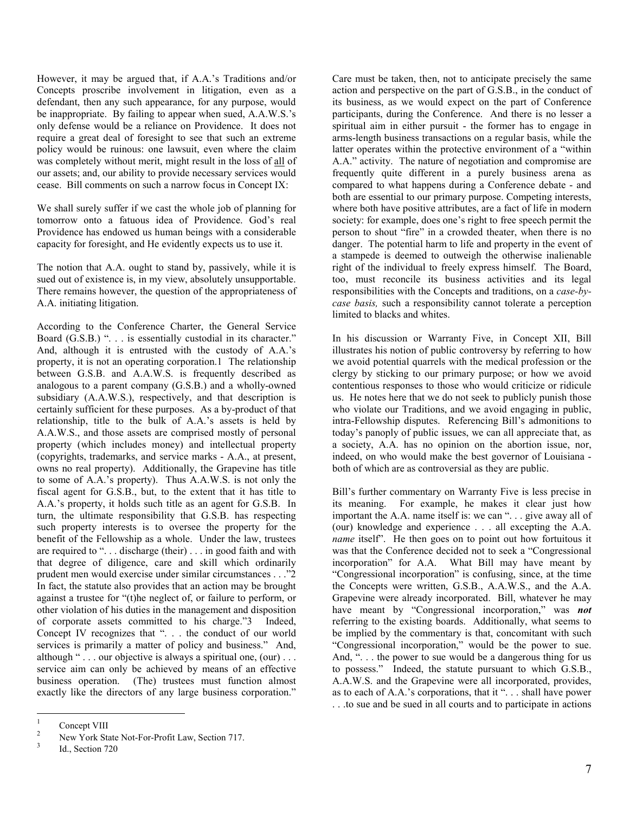However, it may be argued that, if A.A.'s Traditions and/or Concepts proscribe involvement in litigation, even as a defendant, then any such appearance, for any purpose, would be inappropriate. By failing to appear when sued, A.A.W.S.'s only defense would be a reliance on Providence. It does not require a great deal of foresight to see that such an extreme policy would be ruinous: one lawsuit, even where the claim was completely without merit, might result in the loss of all of our assets; and, our ability to provide necessary services would cease. Bill comments on such a narrow focus in Concept IX:

We shall surely suffer if we cast the whole job of planning for tomorrow onto a fatuous idea of Providence. God's real Providence has endowed us human beings with a considerable capacity for foresight, and He evidently expects us to use it.

The notion that A.A. ought to stand by, passively, while it is sued out of existence is, in my view, absolutely unsupportable. There remains however, the question of the appropriateness of A.A. initiating litigation.

According to the Conference Charter, the General Service Board (G.S.B.) ". . . is essentially custodial in its character." And, although it is entrusted with the custody of A.A.'s property, it is not an operating corporation.1 The relationship between G.S.B. and A.A.W.S. is frequently described as analogous to a parent company (G.S.B.) and a wholly-owned subsidiary (A.A.W.S.), respectively, and that description is certainly sufficient for these purposes. As a by-product of that relationship, title to the bulk of A.A.'s assets is held by A.A.W.S., and those assets are comprised mostly of personal property (which includes money) and intellectual property (copyrights, trademarks, and service marks - A.A., at present, owns no real property). Additionally, the Grapevine has title to some of A.A.'s property). Thus A.A.W.S. is not only the fiscal agent for G.S.B., but, to the extent that it has title to A.A.'s property, it holds such title as an agent for G.S.B. In turn, the ultimate responsibility that G.S.B. has respecting such property interests is to oversee the property for the benefit of the Fellowship as a whole. Under the law, trustees are required to ". . . discharge (their) . . . in good faith and with that degree of diligence, care and skill which ordinarily prudent men would exercise under similar circumstances . . ."2 In fact, the statute also provides that an action may be brought against a trustee for "(t)he neglect of, or failure to perform, or other violation of his duties in the management and disposition of corporate assets committed to his charge."3 Indeed, Concept IV recognizes that ". . . the conduct of our world services is primarily a matter of policy and business." And, although " $\ldots$  our objective is always a spiritual one, (our)  $\ldots$ service aim can only be achieved by means of an effective business operation. (The) trustees must function almost exactly like the directors of any large business corporation."

Care must be taken, then, not to anticipate precisely the same action and perspective on the part of G.S.B., in the conduct of its business, as we would expect on the part of Conference participants, during the Conference. And there is no lesser a spiritual aim in either pursuit - the former has to engage in arms-length business transactions on a regular basis, while the latter operates within the protective environment of a "within A.A." activity. The nature of negotiation and compromise are frequently quite different in a purely business arena as compared to what happens during a Conference debate - and both are essential to our primary purpose. Competing interests, where both have positive attributes, are a fact of life in modern society: for example, does one's right to free speech permit the person to shout "fire" in a crowded theater, when there is no danger. The potential harm to life and property in the event of a stampede is deemed to outweigh the otherwise inalienable right of the individual to freely express himself. The Board, too, must reconcile its business activities and its legal responsibilities with the Concepts and traditions, on a case-bycase basis, such a responsibility cannot tolerate a perception limited to blacks and whites.

In his discussion or Warranty Five, in Concept XII, Bill illustrates his notion of public controversy by referring to how we avoid potential quarrels with the medical profession or the clergy by sticking to our primary purpose; or how we avoid contentious responses to those who would criticize or ridicule us. He notes here that we do not seek to publicly punish those who violate our Traditions, and we avoid engaging in public. intra-Fellowship disputes. Referencing Bill's admonitions to today's panoply of public issues, we can all appreciate that, as a society, A.A. has no opinion on the abortion issue, nor, indeed, on who would make the best governor of Louisiana both of which are as controversial as they are public.

Bill's further commentary on Warranty Five is less precise in its meaning. For example, he makes it clear just how important the A.A. name itself is: we can ". . . give away all of (our) knowledge and experience . . . all excepting the A.A. name itself". He then goes on to point out how fortuitous it was that the Conference decided not to seek a "Congressional incorporation" for A.A. What Bill may have meant by "Congressional incorporation" is confusing, since, at the time the Concepts were written, G.S.B., A.A.W.S., and the A.A. Grapevine were already incorporated. Bill, whatever he may have meant by "Congressional incorporation," was **not** referring to the existing boards. Additionally, what seems to be implied by the commentary is that, concomitant with such "Congressional incorporation," would be the power to sue. And, "... the power to sue would be a dangerous thing for us to possess." Indeed, the statute pursuant to which G.S.B., A.A.W.S. and the Grapevine were all incorporated, provides, as to each of A.A.'s corporations, that it ". . . shall have power . . .to sue and be sued in all courts and to participate in actions

 $\frac{1}{1}$ Concept VIII

<sup>2</sup> New York State Not-For-Profit Law, Section 717.

<sup>3</sup> Id., Section 720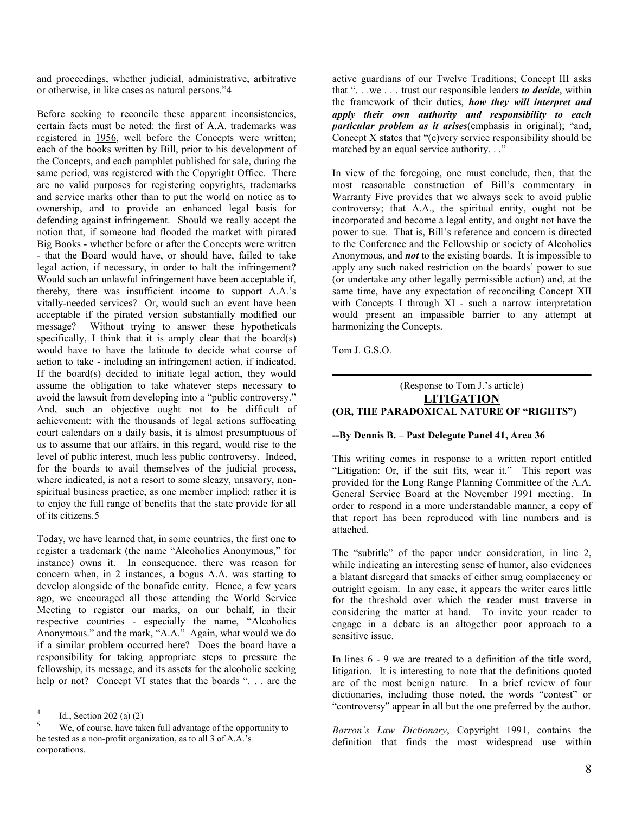and proceedings, whether judicial, administrative, arbitrative or otherwise, in like cases as natural persons."4

Before seeking to reconcile these apparent inconsistencies, certain facts must be noted: the first of A.A. trademarks was registered in 1956, well before the Concepts were written; each of the books written by Bill, prior to his development of the Concepts, and each pamphlet published for sale, during the same period, was registered with the Copyright Office. There are no valid purposes for registering copyrights, trademarks and service marks other than to put the world on notice as to ownership, and to provide an enhanced legal basis for defending against infringement. Should we really accept the notion that, if someone had flooded the market with pirated Big Books - whether before or after the Concepts were written - that the Board would have, or should have, failed to take legal action, if necessary, in order to halt the infringement? Would such an unlawful infringement have been acceptable if, thereby, there was insufficient income to support A.A.'s vitally-needed services? Or, would such an event have been acceptable if the pirated version substantially modified our message? Without trying to answer these hypotheticals specifically, I think that it is amply clear that the board(s) would have to have the latitude to decide what course of action to take - including an infringement action, if indicated. If the board(s) decided to initiate legal action, they would assume the obligation to take whatever steps necessary to avoid the lawsuit from developing into a "public controversy." And, such an objective ought not to be difficult of achievement: with the thousands of legal actions suffocating court calendars on a daily basis, it is almost presumptuous of us to assume that our affairs, in this regard, would rise to the level of public interest, much less public controversy. Indeed, for the boards to avail themselves of the judicial process, where indicated, is not a resort to some sleazy, unsavory, nonspiritual business practice, as one member implied; rather it is to enjoy the full range of benefits that the state provide for all of its citizens.5

Today, we have learned that, in some countries, the first one to register a trademark (the name "Alcoholics Anonymous," for instance) owns it. In consequence, there was reason for concern when, in 2 instances, a bogus A.A. was starting to develop alongside of the bonafide entity. Hence, a few years ago, we encouraged all those attending the World Service Meeting to register our marks, on our behalf, in their respective countries - especially the name, "Alcoholics Anonymous." and the mark, "A.A." Again, what would we do if a similar problem occurred here? Does the board have a responsibility for taking appropriate steps to pressure the fellowship, its message, and its assets for the alcoholic seeking help or not? Concept VI states that the boards ". . . are the

active guardians of our Twelve Traditions; Concept III asks that " $\dots$  we  $\dots$  trust our responsible leaders to decide, within the framework of their duties, how they will interpret and apply their own authority and responsibility to each particular problem as it arises(emphasis in original); "and, Concept X states that "(e)very service responsibility should be matched by an equal service authority. . ."

In view of the foregoing, one must conclude, then, that the most reasonable construction of Bill's commentary in Warranty Five provides that we always seek to avoid public controversy; that A.A., the spiritual entity, ought not be incorporated and become a legal entity, and ought not have the power to sue. That is, Bill's reference and concern is directed to the Conference and the Fellowship or society of Alcoholics Anonymous, and not to the existing boards. It is impossible to apply any such naked restriction on the boards' power to sue (or undertake any other legally permissible action) and, at the same time, have any expectation of reconciling Concept XII with Concepts I through XI - such a narrow interpretation would present an impassible barrier to any attempt at harmonizing the Concepts.

Tom J. G.S.O.

### (Response to Tom J.'s article) **LITIGATION** (OR, THE PARADOXICAL NATURE OF "RIGHTS")

#### --By Dennis B. – Past Delegate Panel 41, Area 36

This writing comes in response to a written report entitled "Litigation: Or, if the suit fits, wear it." This report was provided for the Long Range Planning Committee of the A.A. General Service Board at the November 1991 meeting. In order to respond in a more understandable manner, a copy of that report has been reproduced with line numbers and is attached.

The "subtitle" of the paper under consideration, in line 2, while indicating an interesting sense of humor, also evidences a blatant disregard that smacks of either smug complacency or outright egoism. In any case, it appears the writer cares little for the threshold over which the reader must traverse in considering the matter at hand. To invite your reader to engage in a debate is an altogether poor approach to a sensitive issue.

In lines 6 - 9 we are treated to a definition of the title word, litigation. It is interesting to note that the definitions quoted are of the most benign nature. In a brief review of four dictionaries, including those noted, the words "contest" or "controversy" appear in all but the one preferred by the author.

Barron's Law Dictionary, Copyright 1991, contains the definition that finds the most widespread use within

 $\frac{1}{4}$ Id., Section 202 (a) (2)

<sup>5</sup> We, of course, have taken full advantage of the opportunity to be tested as a non-profit organization, as to all 3 of A.A.'s corporations.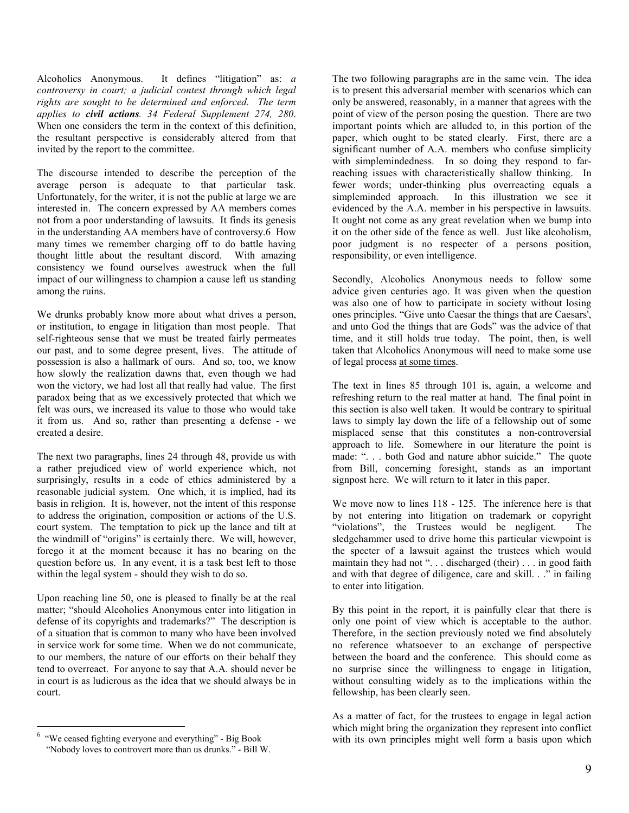Alcoholics Anonymous. It defines "litigation" as: a controversy in court; a judicial contest through which legal rights are sought to be determined and enforced. The term applies to civil actions. 34 Federal Supplement 274, 280. When one considers the term in the context of this definition. the resultant perspective is considerably altered from that invited by the report to the committee.

The discourse intended to describe the perception of the average person is adequate to that particular task. Unfortunately, for the writer, it is not the public at large we are interested in. The concern expressed by AA members comes not from a poor understanding of lawsuits. It finds its genesis in the understanding AA members have of controversy.6 How many times we remember charging off to do battle having thought little about the resultant discord. With amazing consistency we found ourselves awestruck when the full impact of our willingness to champion a cause left us standing among the ruins.

We drunks probably know more about what drives a person, or institution, to engage in litigation than most people. That self-righteous sense that we must be treated fairly permeates our past, and to some degree present, lives. The attitude of possession is also a hallmark of ours. And so, too, we know how slowly the realization dawns that, even though we had won the victory, we had lost all that really had value. The first paradox being that as we excessively protected that which we felt was ours, we increased its value to those who would take it from us. And so, rather than presenting a defense - we created a desire.

The next two paragraphs, lines 24 through 48, provide us with a rather prejudiced view of world experience which, not surprisingly, results in a code of ethics administered by a reasonable judicial system. One which, it is implied, had its basis in religion. It is, however, not the intent of this response to address the origination, composition or actions of the U.S. court system. The temptation to pick up the lance and tilt at the windmill of "origins" is certainly there. We will, however, forego it at the moment because it has no bearing on the question before us. In any event, it is a task best left to those within the legal system - should they wish to do so.

Upon reaching line 50, one is pleased to finally be at the real matter; "should Alcoholics Anonymous enter into litigation in defense of its copyrights and trademarks?" The description is of a situation that is common to many who have been involved in service work for some time. When we do not communicate, to our members, the nature of our efforts on their behalf they tend to overreact. For anyone to say that A.A. should never be in court is as ludicrous as the idea that we should always be in court.

The two following paragraphs are in the same vein. The idea is to present this adversarial member with scenarios which can only be answered, reasonably, in a manner that agrees with the point of view of the person posing the question. There are two important points which are alluded to, in this portion of the paper, which ought to be stated clearly. First, there are a significant number of A.A. members who confuse simplicity with simplemindedness. In so doing they respond to farreaching issues with characteristically shallow thinking. In fewer words; under-thinking plus overreacting equals a simpleminded approach. In this illustration we see it evidenced by the A.A. member in his perspective in lawsuits. It ought not come as any great revelation when we bump into it on the other side of the fence as well. Just like alcoholism, poor judgment is no respecter of a persons position, responsibility, or even intelligence.

Secondly, Alcoholics Anonymous needs to follow some advice given centuries ago. It was given when the question was also one of how to participate in society without losing ones principles. "Give unto Caesar the things that are Caesars', and unto God the things that are Gods" was the advice of that time, and it still holds true today. The point, then, is well taken that Alcoholics Anonymous will need to make some use of legal process at some times.

The text in lines 85 through 101 is, again, a welcome and refreshing return to the real matter at hand. The final point in this section is also well taken. It would be contrary to spiritual laws to simply lay down the life of a fellowship out of some misplaced sense that this constitutes a non-controversial approach to life. Somewhere in our literature the point is made: ". . . both God and nature abhor suicide." The quote from Bill, concerning foresight, stands as an important signpost here. We will return to it later in this paper.

We move now to lines 118 - 125. The inference here is that by not entering into litigation on trademark or copyright "violations", the Trustees would be negligent. The sledgehammer used to drive home this particular viewpoint is the specter of a lawsuit against the trustees which would maintain they had not ". . . discharged (their) . . . in good faith and with that degree of diligence, care and skill. . ." in failing to enter into litigation.

By this point in the report, it is painfully clear that there is only one point of view which is acceptable to the author. Therefore, in the section previously noted we find absolutely no reference whatsoever to an exchange of perspective between the board and the conference. This should come as no surprise since the willingness to engage in litigation, without consulting widely as to the implications within the fellowship, has been clearly seen.

As a matter of fact, for the trustees to engage in legal action which might bring the organization they represent into conflict with its own principles might well form a basis upon which

<sup>&</sup>lt;u>.</u> 6 "We ceased fighting everyone and everything" - Big Book "Nobody loves to controvert more than us drunks." - Bill W.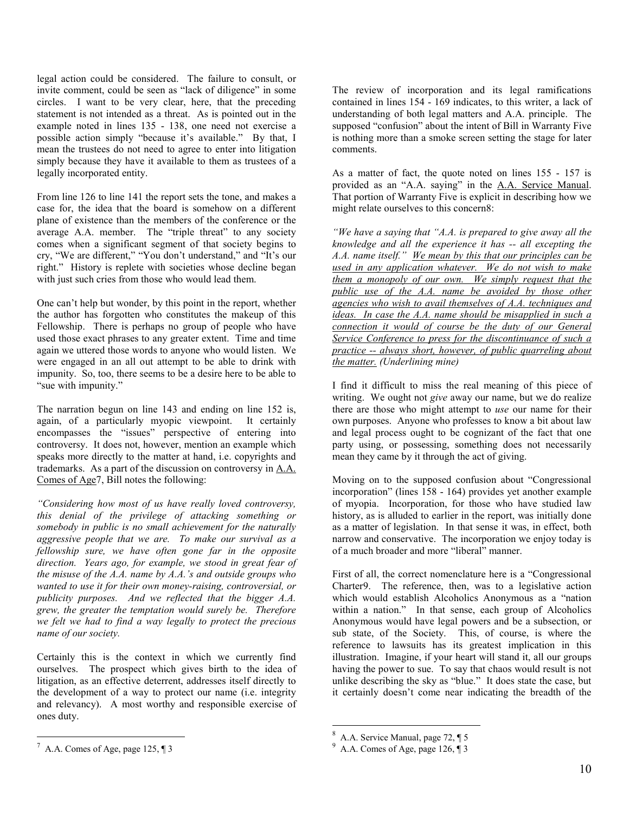legal action could be considered. The failure to consult, or invite comment, could be seen as "lack of diligence" in some circles. I want to be very clear, here, that the preceding statement is not intended as a threat. As is pointed out in the example noted in lines 135 - 138, one need not exercise a possible action simply "because it's available." By that, I mean the trustees do not need to agree to enter into litigation simply because they have it available to them as trustees of a legally incorporated entity.

From line 126 to line 141 the report sets the tone, and makes a case for, the idea that the board is somehow on a different plane of existence than the members of the conference or the average A.A. member. The "triple threat" to any society comes when a significant segment of that society begins to cry, "We are different," "You don't understand," and "It's our right." History is replete with societies whose decline began with just such cries from those who would lead them.

One can't help but wonder, by this point in the report, whether the author has forgotten who constitutes the makeup of this Fellowship. There is perhaps no group of people who have used those exact phrases to any greater extent. Time and time again we uttered those words to anyone who would listen. We were engaged in an all out attempt to be able to drink with impunity. So, too, there seems to be a desire here to be able to "sue with impunity."

The narration begun on line 143 and ending on line 152 is, again, of a particularly myopic viewpoint. It certainly encompasses the "issues" perspective of entering into controversy. It does not, however, mention an example which speaks more directly to the matter at hand, i.e. copyrights and trademarks. As a part of the discussion on controversy in  $A.A.$ Comes of Age7, Bill notes the following:

"Considering how most of us have really loved controversy, this denial of the privilege of attacking something or somebody in public is no small achievement for the naturally aggressive people that we are. To make our survival as a fellowship sure, we have often gone far in the opposite direction. Years ago, for example, we stood in great fear of the misuse of the  $A.A.$  name by  $A.A.$ 's and outside groups who wanted to use it for their own money-raising, controversial, or publicity purposes. And we reflected that the bigger A.A. grew, the greater the temptation would surely be. Therefore we felt we had to find a way legally to protect the precious name of our society.

Certainly this is the context in which we currently find ourselves. The prospect which gives birth to the idea of litigation, as an effective deterrent, addresses itself directly to the development of a way to protect our name (i.e. integrity and relevancy). A most worthy and responsible exercise of ones duty.

<u>.</u>

The review of incorporation and its legal ramifications contained in lines 154 - 169 indicates, to this writer, a lack of understanding of both legal matters and A.A. principle. The supposed "confusion" about the intent of Bill in Warranty Five is nothing more than a smoke screen setting the stage for later comments.

As a matter of fact, the quote noted on lines 155 - 157 is provided as an "A.A. saying" in the A.A. Service Manual. That portion of Warranty Five is explicit in describing how we might relate ourselves to this concern8:

"We have a saying that "A.A. is prepared to give away all the knowledge and all the experience it has -- all excepting the A.A. name itself." We mean by this that our principles can be used in any application whatever. We do not wish to make them a monopoly of our own. We simply request that the public use of the A.A. name be avoided by those other agencies who wish to avail themselves of A.A. techniques and ideas. In case the A.A. name should be misapplied in such a connection it would of course be the duty of our General Service Conference to press for the discontinuance of such a practice -- always short, however, of public quarreling about the matter. (Underlining mine)

I find it difficult to miss the real meaning of this piece of writing. We ought not give away our name, but we do realize there are those who might attempt to use our name for their own purposes. Anyone who professes to know a bit about law and legal process ought to be cognizant of the fact that one party using, or possessing, something does not necessarily mean they came by it through the act of giving.

Moving on to the supposed confusion about "Congressional incorporation" (lines 158 - 164) provides yet another example of myopia. Incorporation, for those who have studied law history, as is alluded to earlier in the report, was initially done as a matter of legislation. In that sense it was, in effect, both narrow and conservative. The incorporation we enjoy today is of a much broader and more "liberal" manner.

First of all, the correct nomenclature here is a "Congressional Charter9. The reference, then, was to a legislative action which would establish Alcoholics Anonymous as a "nation within a nation." In that sense, each group of Alcoholics Anonymous would have legal powers and be a subsection, or sub state, of the Society. This, of course, is where the reference to lawsuits has its greatest implication in this illustration. Imagine, if your heart will stand it, all our groups having the power to sue. To say that chaos would result is not unlike describing the sky as "blue." It does state the case, but it certainly doesn't come near indicating the breadth of the

 $\overline{a}$ 

 $^7$  A.A. Comes of Age, page 125, ¶ 3

<sup>8</sup> A.A. Service Manual, page 72, ¶ 5

 $9\,$  A.A. Comes of Age, page 126,  $\sqrt{13}$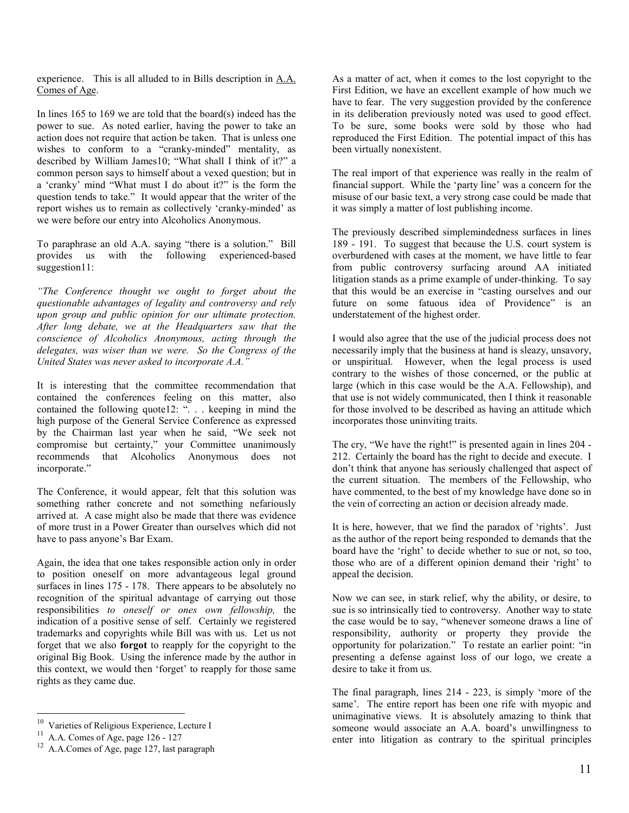experience. This is all alluded to in Bills description in A.A. Comes of Age.

In lines 165 to 169 we are told that the board(s) indeed has the power to sue. As noted earlier, having the power to take an action does not require that action be taken. That is unless one wishes to conform to a "cranky-minded" mentality, as described by William James10; "What shall I think of it?" a common person says to himself about a vexed question; but in a 'cranky' mind "What must I do about it?" is the form the question tends to take." It would appear that the writer of the report wishes us to remain as collectively 'cranky-minded' as we were before our entry into Alcoholics Anonymous.

To paraphrase an old A.A. saying "there is a solution." Bill provides us with the following experienced-based suggestion<sub>11:</sub>

"The Conference thought we ought to forget about the questionable advantages of legality and controversy and rely upon group and public opinion for our ultimate protection. After long debate, we at the Headquarters saw that the conscience of Alcoholics Anonymous, acting through the delegates, was wiser than we were. So the Congress of the United States was never asked to incorporate A.A."

It is interesting that the committee recommendation that contained the conferences feeling on this matter, also contained the following quote12: ". . . keeping in mind the high purpose of the General Service Conference as expressed by the Chairman last year when he said, "We seek not compromise but certainty," your Committee unanimously recommends that Alcoholics Anonymous does not incorporate."

The Conference, it would appear, felt that this solution was something rather concrete and not something nefariously arrived at. A case might also be made that there was evidence of more trust in a Power Greater than ourselves which did not have to pass anyone's Bar Exam.

Again, the idea that one takes responsible action only in order to position oneself on more advantageous legal ground surfaces in lines  $175 - 178$ . There appears to be absolutely no recognition of the spiritual advantage of carrying out those responsibilities to oneself or ones own fellowship, the indication of a positive sense of self. Certainly we registered trademarks and copyrights while Bill was with us. Let us not forget that we also forgot to reapply for the copyright to the original Big Book. Using the inference made by the author in this context, we would then 'forget' to reapply for those same rights as they came due.

-

As a matter of act, when it comes to the lost copyright to the First Edition, we have an excellent example of how much we have to fear. The very suggestion provided by the conference in its deliberation previously noted was used to good effect. To be sure, some books were sold by those who had reproduced the First Edition. The potential impact of this has been virtually nonexistent.

The real import of that experience was really in the realm of financial support. While the 'party line' was a concern for the misuse of our basic text, a very strong case could be made that it was simply a matter of lost publishing income.

The previously described simplemindedness surfaces in lines 189 - 191. To suggest that because the U.S. court system is overburdened with cases at the moment, we have little to fear from public controversy surfacing around AA initiated litigation stands as a prime example of under-thinking. To say that this would be an exercise in "casting ourselves and our future on some fatuous idea of Providence" is an understatement of the highest order.

I would also agree that the use of the judicial process does not necessarily imply that the business at hand is sleazy, unsavory, or unspiritual. However, when the legal process is used contrary to the wishes of those concerned, or the public at large (which in this case would be the A.A. Fellowship), and that use is not widely communicated, then I think it reasonable for those involved to be described as having an attitude which incorporates those uninviting traits.

The cry, "We have the right!" is presented again in lines 204 - 212. Certainly the board has the right to decide and execute. I don't think that anyone has seriously challenged that aspect of the current situation. The members of the Fellowship, who have commented, to the best of my knowledge have done so in the vein of correcting an action or decision already made.

It is here, however, that we find the paradox of 'rights'. Just as the author of the report being responded to demands that the board have the 'right' to decide whether to sue or not, so too, those who are of a different opinion demand their 'right' to appeal the decision.

Now we can see, in stark relief, why the ability, or desire, to sue is so intrinsically tied to controversy. Another way to state the case would be to say, "whenever someone draws a line of responsibility, authority or property they provide the opportunity for polarization." To restate an earlier point: "in presenting a defense against loss of our logo, we create a desire to take it from us.

The final paragraph, lines 214 - 223, is simply 'more of the same'. The entire report has been one rife with myopic and unimaginative views. It is absolutely amazing to think that someone would associate an A.A. board's unwillingness to enter into litigation as contrary to the spiritual principles

<sup>&</sup>lt;sup>10</sup> Varieties of Religious Experience, Lecture I

<sup>&</sup>lt;sup>11</sup> A.A. Comes of Age, page 126 - 127

<sup>12</sup> A.A.Comes of Age, page 127, last paragraph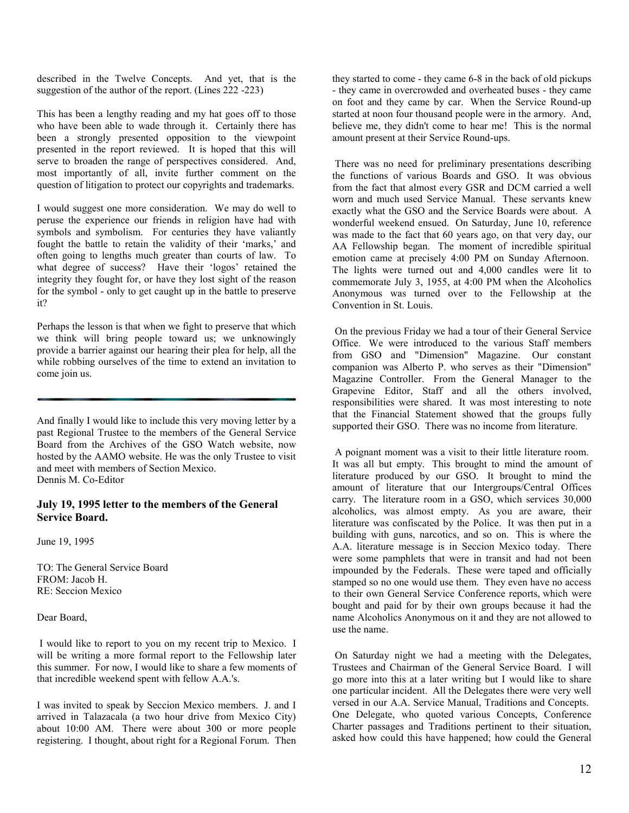described in the Twelve Concepts. And yet, that is the suggestion of the author of the report. (Lines 222 -223)

This has been a lengthy reading and my hat goes off to those who have been able to wade through it. Certainly there has been a strongly presented opposition to the viewpoint presented in the report reviewed. It is hoped that this will serve to broaden the range of perspectives considered. And, most importantly of all, invite further comment on the question of litigation to protect our copyrights and trademarks.

I would suggest one more consideration. We may do well to peruse the experience our friends in religion have had with symbols and symbolism. For centuries they have valiantly fought the battle to retain the validity of their 'marks,' and often going to lengths much greater than courts of law. To what degree of success? Have their 'logos' retained the integrity they fought for, or have they lost sight of the reason for the symbol - only to get caught up in the battle to preserve it?

Perhaps the lesson is that when we fight to preserve that which we think will bring people toward us; we unknowingly provide a barrier against our hearing their plea for help, all the while robbing ourselves of the time to extend an invitation to come join us.

And finally I would like to include this very moving letter by a past Regional Trustee to the members of the General Service Board from the Archives of the GSO Watch website, now hosted by the AAMO website. He was the only Trustee to visit and meet with members of Section Mexico. Dennis M. Co-Editor

#### July 19, 1995 letter to the members of the General Service Board.

June 19, 1995

TO: The General Service Board FROM: Jacob H. RE: Seccion Mexico

Dear Board,

 I would like to report to you on my recent trip to Mexico. I will be writing a more formal report to the Fellowship later this summer. For now, I would like to share a few moments of that incredible weekend spent with fellow A.A.'s.

I was invited to speak by Seccion Mexico members. J. and I arrived in Talazacala (a two hour drive from Mexico City) about 10:00 AM. There were about 300 or more people registering. I thought, about right for a Regional Forum. Then

they started to come - they came 6-8 in the back of old pickups - they came in overcrowded and overheated buses - they came on foot and they came by car. When the Service Round-up started at noon four thousand people were in the armory. And, believe me, they didn't come to hear me! This is the normal amount present at their Service Round-ups.

 There was no need for preliminary presentations describing the functions of various Boards and GSO. It was obvious from the fact that almost every GSR and DCM carried a well worn and much used Service Manual. These servants knew exactly what the GSO and the Service Boards were about. A wonderful weekend ensued. On Saturday, June 10, reference was made to the fact that 60 years ago, on that very day, our AA Fellowship began. The moment of incredible spiritual emotion came at precisely 4:00 PM on Sunday Afternoon. The lights were turned out and 4,000 candles were lit to commemorate July 3, 1955, at 4:00 PM when the Alcoholics Anonymous was turned over to the Fellowship at the Convention in St. Louis.

 On the previous Friday we had a tour of their General Service Office. We were introduced to the various Staff members from GSO and "Dimension" Magazine. Our constant companion was Alberto P. who serves as their "Dimension" Magazine Controller. From the General Manager to the Grapevine Editor, Staff and all the others involved, responsibilities were shared. It was most interesting to note that the Financial Statement showed that the groups fully supported their GSO. There was no income from literature.

 A poignant moment was a visit to their little literature room. It was all but empty. This brought to mind the amount of literature produced by our GSO. It brought to mind the amount of literature that our Intergroups/Central Offices carry. The literature room in a GSO, which services 30,000 alcoholics, was almost empty. As you are aware, their literature was confiscated by the Police. It was then put in a building with guns, narcotics, and so on. This is where the A.A. literature message is in Seccion Mexico today. There were some pamphlets that were in transit and had not been impounded by the Federals. These were taped and officially stamped so no one would use them. They even have no access to their own General Service Conference reports, which were bought and paid for by their own groups because it had the name Alcoholics Anonymous on it and they are not allowed to use the name.

 On Saturday night we had a meeting with the Delegates, Trustees and Chairman of the General Service Board. I will go more into this at a later writing but I would like to share one particular incident. All the Delegates there were very well versed in our A.A. Service Manual, Traditions and Concepts. One Delegate, who quoted various Concepts, Conference Charter passages and Traditions pertinent to their situation, asked how could this have happened; how could the General